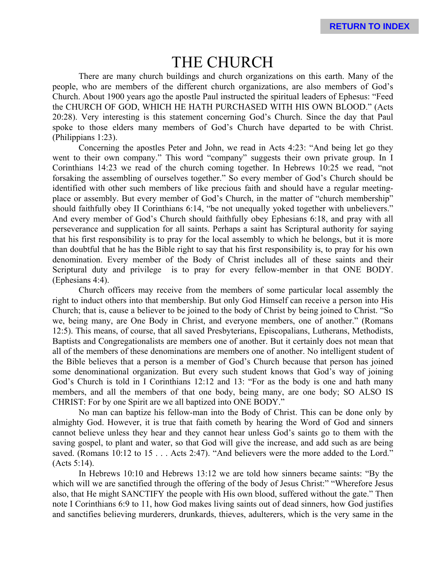## THE CHURCH

There are many church buildings and church organizations on this earth. Many of the people, who are members of the different church organizations, are also members of God's Church. About 1900 years ago the apostle Paul instructed the spiritual leaders of Ephesus: "Feed the CHURCH OF GOD, WHICH HE HATH PURCHASED WITH HIS OWN BLOOD." (Acts 20:28). Very interesting is this statement concerning God's Church. Since the day that Paul spoke to those elders many members of God's Church have departed to be with Christ. (Philippians 1:23).

Concerning the apostles Peter and John, we read in Acts 4:23: "And being let go they went to their own company." This word "company" suggests their own private group. In I Corinthians 14:23 we read of the church coming together. In Hebrews 10:25 we read, "not forsaking the assembling of ourselves together." So every member of God's Church should be identified with other such members of like precious faith and should have a regular meetingplace or assembly. But every member of God's Church, in the matter of "church membership" should faithfully obey II Corinthians 6:14, "be not unequally yoked together with unbelievers." And every member of God's Church should faithfully obey Ephesians 6:18, and pray with all perseverance and supplication for all saints. Perhaps a saint has Scriptural authority for saying that his first responsibility is to pray for the local assembly to which he belongs, but it is more than doubtful that he has the Bible right to say that his first responsibility is, to pray for his own denomination. Every member of the Body of Christ includes all of these saints and their Scriptural duty and privilege is to pray for every fellow-member in that ONE BODY. (Ephesians 4:4).

Church officers may receive from the members of some particular local assembly the right to induct others into that membership. But only God Himself can receive a person into His Church; that is, cause a believer to be joined to the body of Christ by being joined to Christ. "So we, being many, are One Body in Christ, and everyone members, one of another." (Romans 12:5). This means, of course, that all saved Presbyterians, Episcopalians, Lutherans, Methodists, Baptists and Congregationalists are members one of another. But it certainly does not mean that all of the members of these denominations are members one of another. No intelligent student of the Bible believes that a person is a member of God's Church because that person has joined some denominational organization. But every such student knows that God's way of joining God's Church is told in I Corinthians 12:12 and 13: "For as the body is one and hath many members, and all the members of that one body, being many, are one body; SO ALSO IS CHRIST: For by one Spirit are we all baptized into ONE BODY."

No man can baptize his fellow-man into the Body of Christ. This can be done only by almighty God. However, it is true that faith cometh by hearing the Word of God and sinners cannot believe unless they hear and they cannot hear unless God's saints go to them with the saving gospel, to plant and water, so that God will give the increase, and add such as are being saved. (Romans 10:12 to 15 . . . Acts 2:47). "And believers were the more added to the Lord." (Acts 5:14).

In Hebrews 10:10 and Hebrews 13:12 we are told how sinners became saints: "By the which will we are sanctified through the offering of the body of Jesus Christ:" "Wherefore Jesus" also, that He might SANCTIFY the people with His own blood, suffered without the gate." Then note I Corinthians 6:9 to 11, how God makes living saints out of dead sinners, how God justifies and sanctifies believing murderers, drunkards, thieves, adulterers, which is the very same in the